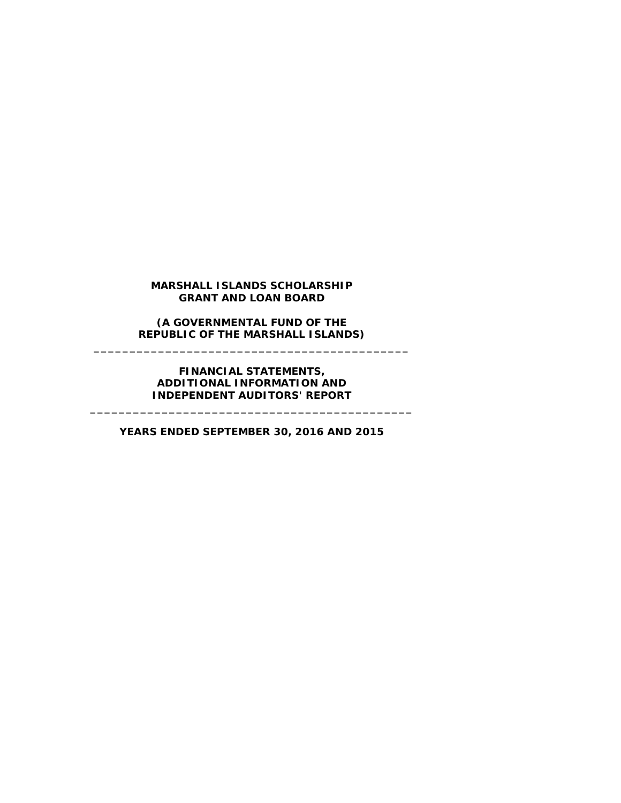**(A GOVERNMENTAL FUND OF THE REPUBLIC OF THE MARSHALL ISLANDS) \_\_\_\_\_\_\_\_\_\_\_\_\_\_\_\_\_\_\_\_\_\_\_\_\_\_\_\_\_\_\_\_\_\_\_\_\_\_\_\_\_\_\_\_**

> **FINANCIAL STATEMENTS, ADDITIONAL INFORMATION AND INDEPENDENT AUDITORS' REPORT**

**\_\_\_\_\_\_\_\_\_\_\_\_\_\_\_\_\_\_\_\_\_\_\_\_\_\_\_\_\_\_\_\_\_\_\_\_\_\_\_\_\_\_\_\_\_**

**YEARS ENDED SEPTEMBER 30, 2016 AND 2015**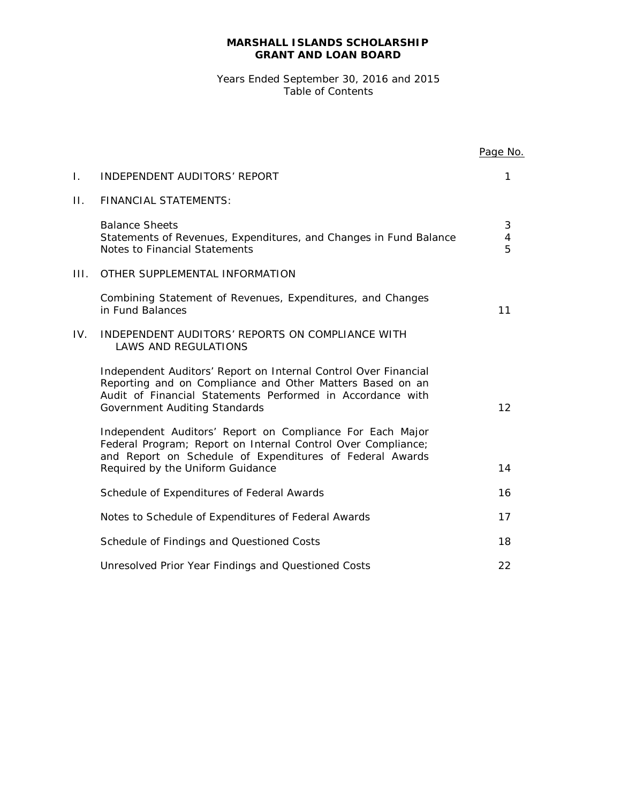Years Ended September 30, 2016 and 2015 Table of Contents

|         |                                                                                                                                                                                                                             | Page No.    |
|---------|-----------------------------------------------------------------------------------------------------------------------------------------------------------------------------------------------------------------------------|-------------|
| Τ.      | INDEPENDENT AUDITORS' REPORT                                                                                                                                                                                                | 1           |
| $\Pi$ . | <b>FINANCIAL STATEMENTS:</b>                                                                                                                                                                                                |             |
|         | <b>Balance Sheets</b><br>Statements of Revenues, Expenditures, and Changes in Fund Balance<br>Notes to Financial Statements                                                                                                 | 3<br>4<br>5 |
| III.    | OTHER SUPPLEMENTAL INFORMATION                                                                                                                                                                                              |             |
|         | Combining Statement of Revenues, Expenditures, and Changes<br>in Fund Balances                                                                                                                                              | 11          |
| IV.     | INDEPENDENT AUDITORS' REPORTS ON COMPLIANCE WITH<br><b>LAWS AND REGULATIONS</b>                                                                                                                                             |             |
|         | Independent Auditors' Report on Internal Control Over Financial<br>Reporting and on Compliance and Other Matters Based on an<br>Audit of Financial Statements Performed in Accordance with<br>Government Auditing Standards | 12          |
|         | Independent Auditors' Report on Compliance For Each Major<br>Federal Program; Report on Internal Control Over Compliance;<br>and Report on Schedule of Expenditures of Federal Awards<br>Required by the Uniform Guidance   | 14          |
|         | Schedule of Expenditures of Federal Awards                                                                                                                                                                                  | 16          |
|         | Notes to Schedule of Expenditures of Federal Awards                                                                                                                                                                         | 17          |
|         | Schedule of Findings and Questioned Costs                                                                                                                                                                                   | 18          |
|         | Unresolved Prior Year Findings and Questioned Costs                                                                                                                                                                         | 22          |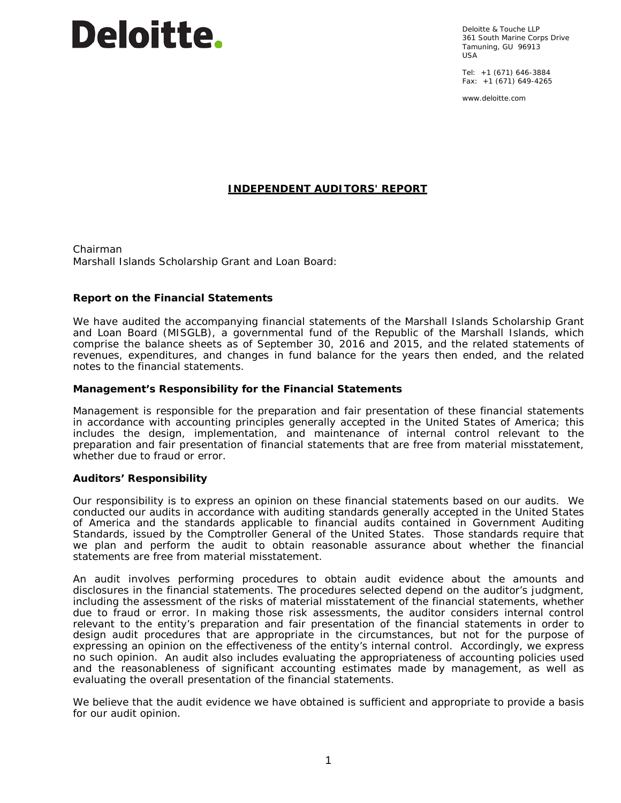Deloitte & Touche LLP 361 South Marine Corps Drive Tamuning, GU 96913 USA

Tel: +1 (671) 646-3884 Fax: +1 (671) 649-4265

www.deloitte.com

# **INDEPENDENT AUDITORS' REPORT**

Chairman Marshall Islands Scholarship Grant and Loan Board:

# **Report on the Financial Statements**

We have audited the accompanying financial statements of the Marshall Islands Scholarship Grant and Loan Board (MISGLB), a governmental fund of the Republic of the Marshall Islands, which comprise the balance sheets as of September 30, 2016 and 2015, and the related statements of revenues, expenditures, and changes in fund balance for the years then ended, and the related notes to the financial statements.

# *Management's Responsibility for the Financial Statements*

Management is responsible for the preparation and fair presentation of these financial statements in accordance with accounting principles generally accepted in the United States of America; this includes the design, implementation, and maintenance of internal control relevant to the preparation and fair presentation of financial statements that are free from material misstatement, whether due to fraud or error.

### *Auditors' Responsibility*

Our responsibility is to express an opinion on these financial statements based on our audits. We conducted our audits in accordance with auditing standards generally accepted in the United States of America and the standards applicable to financial audits contained in *Government Auditing Standards,* issued by the Comptroller General of the United States. Those standards require that we plan and perform the audit to obtain reasonable assurance about whether the financial statements are free from material misstatement.

An audit involves performing procedures to obtain audit evidence about the amounts and disclosures in the financial statements. The procedures selected depend on the auditor's judgment, including the assessment of the risks of material misstatement of the financial statements, whether due to fraud or error. In making those risk assessments, the auditor considers internal control relevant to the entity's preparation and fair presentation of the financial statements in order to design audit procedures that are appropriate in the circumstances, but not for the purpose of expressing an opinion on the effectiveness of the entity's internal control. Accordingly, we express no such opinion. An audit also includes evaluating the appropriateness of accounting policies used and the reasonableness of significant accounting estimates made by management, as well as evaluating the overall presentation of the financial statements.

We believe that the audit evidence we have obtained is sufficient and appropriate to provide a basis for our audit opinion.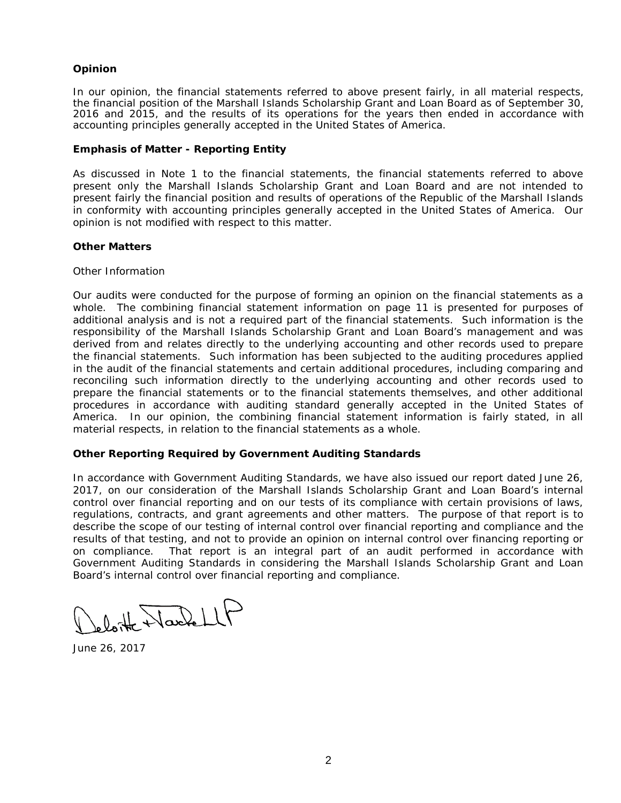# *Opinion*

In our opinion, the financial statements referred to above present fairly, in all material respects, the financial position of the Marshall Islands Scholarship Grant and Loan Board as of September 30, 2016 and 2015, and the results of its operations for the years then ended in accordance with accounting principles generally accepted in the United States of America.

# *Emphasis of Matter - Reporting Entity*

As discussed in Note 1 to the financial statements, the financial statements referred to above present only the Marshall Islands Scholarship Grant and Loan Board and are not intended to present fairly the financial position and results of operations of the Republic of the Marshall Islands in conformity with accounting principles generally accepted in the United States of America. Our opinion is not modified with respect to this matter.

# *Other Matters*

# *Other Information*

Our audits were conducted for the purpose of forming an opinion on the financial statements as a whole. The combining financial statement information on page 11 is presented for purposes of additional analysis and is not a required part of the financial statements. Such information is the responsibility of the Marshall Islands Scholarship Grant and Loan Board's management and was derived from and relates directly to the underlying accounting and other records used to prepare the financial statements. Such information has been subjected to the auditing procedures applied in the audit of the financial statements and certain additional procedures, including comparing and reconciling such information directly to the underlying accounting and other records used to prepare the financial statements or to the financial statements themselves, and other additional procedures in accordance with auditing standard generally accepted in the United States of America. In our opinion, the combining financial statement information is fairly stated, in all material respects, in relation to the financial statements as a whole.

# **Other Reporting Required by** *Government Auditing Standards*

In accordance with *Government Auditing Standards*, we have also issued our report dated June 26, 2017, on our consideration of the Marshall Islands Scholarship Grant and Loan Board's internal control over financial reporting and on our tests of its compliance with certain provisions of laws, regulations, contracts, and grant agreements and other matters. The purpose of that report is to describe the scope of our testing of internal control over financial reporting and compliance and the results of that testing, and not to provide an opinion on internal control over financing reporting or on compliance. That report is an integral part of an audit performed in accordance with *Government Auditing Standards* in considering the Marshall Islands Scholarship Grant and Loan Board's internal control over financial reporting and compliance.

beloit Nachell

June 26, 2017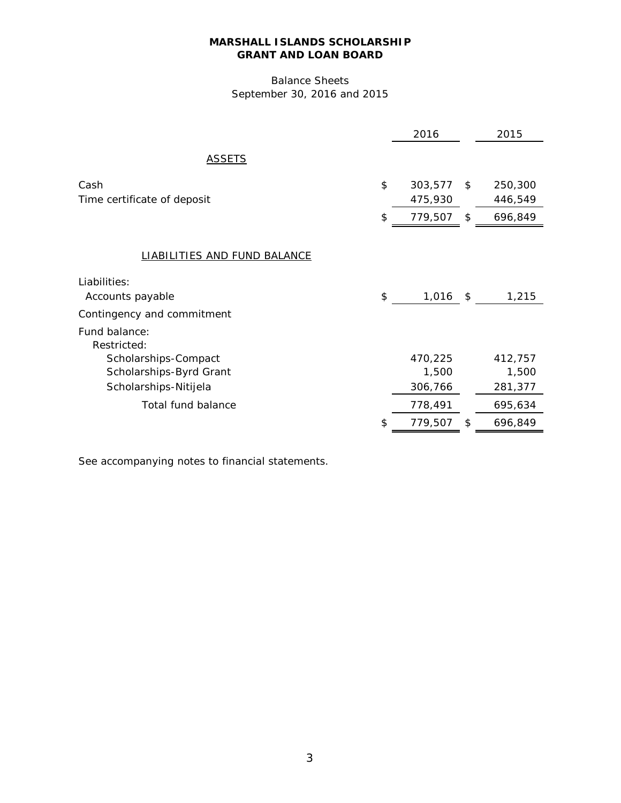# Balance Sheets September 30, 2016 and 2015

|                                                                         | 2016                     | 2015                     |
|-------------------------------------------------------------------------|--------------------------|--------------------------|
| <b>ASSETS</b>                                                           |                          |                          |
| Cash<br>Time certificate of deposit                                     | \$<br>303,577<br>475,930 | \$<br>250,300<br>446,549 |
|                                                                         | \$<br>779,507            | \$<br>696,849            |
| <u>LIABILITIES AND FUND BALANCE</u><br>Liabilities:<br>Accounts payable | \$<br>$1,016$ \$         | 1,215                    |
| Contingency and commitment                                              |                          |                          |
| Fund balance:<br>Restricted:                                            |                          |                          |
| Scholarships-Compact                                                    | 470,225                  | 412,757                  |
| Scholarships-Byrd Grant                                                 | 1,500                    | 1,500                    |
| Scholarships-Nitijela                                                   | 306,766                  | 281,377                  |
| <b>Total fund balance</b>                                               | 778,491                  | 695,634                  |
|                                                                         | \$<br>779,507            | \$<br>696,849            |

See accompanying notes to financial statements.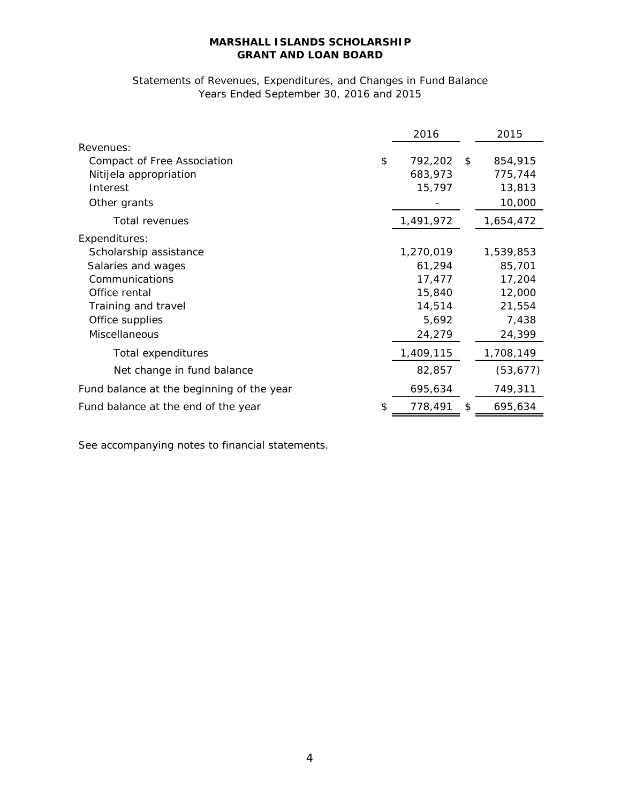# Statements of Revenues, Expenditures, and Changes in Fund Balance Years Ended September 30, 2016 and 2015

|                                           | 2016          | 2015          |
|-------------------------------------------|---------------|---------------|
| Revenues:                                 |               |               |
| Compact of Free Association               | \$<br>792,202 | \$<br>854,915 |
| Nitijela appropriation                    | 683,973       | 775,744       |
| Interest                                  | 15,797        | 13,813        |
| Other grants                              |               | 10,000        |
| Total revenues                            | 1,491,972     | 1,654,472     |
| Expenditures:                             |               |               |
| Scholarship assistance                    | 1,270,019     | 1,539,853     |
| Salaries and wages                        | 61,294        | 85,701        |
| Communications                            | 17,477        | 17,204        |
| Office rental                             | 15,840        | 12,000        |
| Training and travel                       | 14,514        | 21,554        |
| Office supplies                           | 5,692         | 7,438         |
| Miscellaneous                             | 24,279        | 24,399        |
| Total expenditures                        | 1,409,115     | 1,708,149     |
| Net change in fund balance                | 82,857        | (53, 677)     |
| Fund balance at the beginning of the year | 695,634       | 749,311       |
| Fund balance at the end of the year       | \$<br>778,491 | \$<br>695,634 |

See accompanying notes to financial statements.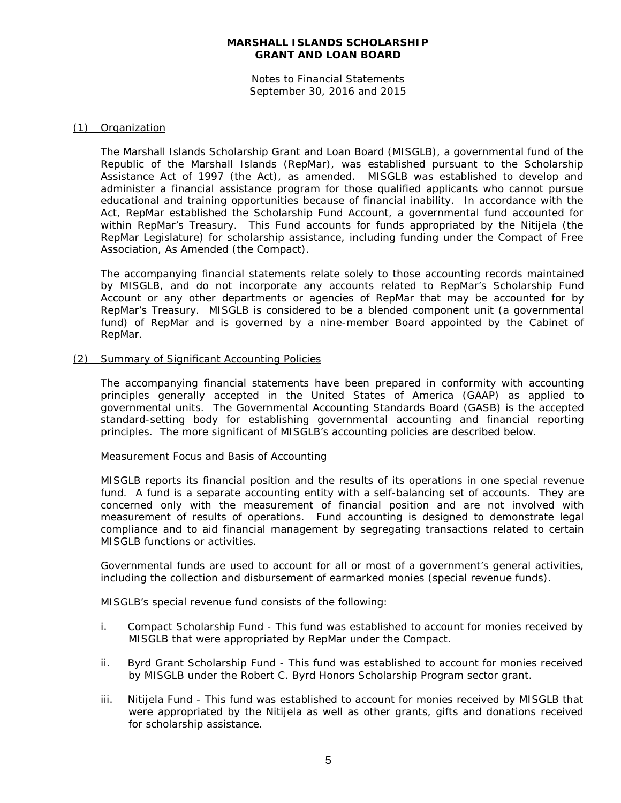Notes to Financial Statements September 30, 2016 and 2015

# (1) Organization

The Marshall Islands Scholarship Grant and Loan Board (MISGLB), a governmental fund of the Republic of the Marshall Islands (RepMar), was established pursuant to the Scholarship Assistance Act of 1997 (the Act), as amended. MISGLB was established to develop and administer a financial assistance program for those qualified applicants who cannot pursue educational and training opportunities because of financial inability. In accordance with the Act, RepMar established the Scholarship Fund Account, a governmental fund accounted for within RepMar's Treasury. This Fund accounts for funds appropriated by the Nitijela (the RepMar Legislature) for scholarship assistance, including funding under the Compact of Free Association, As Amended (the Compact).

The accompanying financial statements relate solely to those accounting records maintained by MISGLB, and do not incorporate any accounts related to RepMar's Scholarship Fund Account or any other departments or agencies of RepMar that may be accounted for by RepMar's Treasury. MISGLB is considered to be a blended component unit (a governmental fund) of RepMar and is governed by a nine-member Board appointed by the Cabinet of RepMar.

# (2) Summary of Significant Accounting Policies

The accompanying financial statements have been prepared in conformity with accounting principles generally accepted in the United States of America (GAAP) as applied to governmental units. The Governmental Accounting Standards Board (GASB) is the accepted standard-setting body for establishing governmental accounting and financial reporting principles. The more significant of MISGLB's accounting policies are described below.

### Measurement Focus and Basis of Accounting

MISGLB reports its financial position and the results of its operations in one special revenue fund. A fund is a separate accounting entity with a self-balancing set of accounts. They are concerned only with the measurement of financial position and are not involved with measurement of results of operations. Fund accounting is designed to demonstrate legal compliance and to aid financial management by segregating transactions related to certain MISGLB functions or activities.

Governmental funds are used to account for all or most of a government's general activities, including the collection and disbursement of earmarked monies (special revenue funds).

MISGLB's special revenue fund consists of the following:

- i. Compact Scholarship Fund This fund was established to account for monies received by MISGLB that were appropriated by RepMar under the Compact.
- ii. Byrd Grant Scholarship Fund This fund was established to account for monies received by MISGLB under the Robert C. Byrd Honors Scholarship Program sector grant.
- iii. Nitijela Fund This fund was established to account for monies received by MISGLB that were appropriated by the Nitijela as well as other grants, gifts and donations received for scholarship assistance.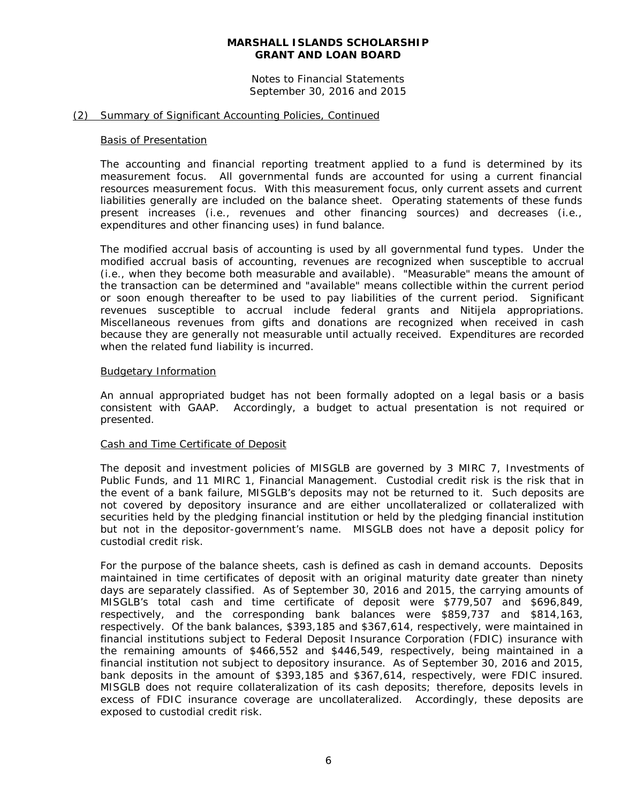Notes to Financial Statements September 30, 2016 and 2015

# (2) Summary of Significant Accounting Policies, Continued

### Basis of Presentation

The accounting and financial reporting treatment applied to a fund is determined by its measurement focus. All governmental funds are accounted for using a current financial resources measurement focus. With this measurement focus, only current assets and current liabilities generally are included on the balance sheet. Operating statements of these funds present increases (i.e., revenues and other financing sources) and decreases (i.e., expenditures and other financing uses) in fund balance.

The modified accrual basis of accounting is used by all governmental fund types. Under the modified accrual basis of accounting, revenues are recognized when susceptible to accrual (i.e., when they become both measurable and available). "Measurable" means the amount of the transaction can be determined and "available" means collectible within the current period or soon enough thereafter to be used to pay liabilities of the current period. Significant revenues susceptible to accrual include federal grants and Nitijela appropriations. Miscellaneous revenues from gifts and donations are recognized when received in cash because they are generally not measurable until actually received. Expenditures are recorded when the related fund liability is incurred.

### Budgetary Information

An annual appropriated budget has not been formally adopted on a legal basis or a basis consistent with GAAP. Accordingly, a budget to actual presentation is not required or presented.

### Cash and Time Certificate of Deposit

The deposit and investment policies of MISGLB are governed by 3 MIRC 7, *Investments of Public Funds*, and 11 MIRC 1, *Financial Management*. Custodial credit risk is the risk that in the event of a bank failure, MISGLB's deposits may not be returned to it. Such deposits are not covered by depository insurance and are either uncollateralized or collateralized with securities held by the pledging financial institution or held by the pledging financial institution but not in the depositor-government's name. MISGLB does not have a deposit policy for custodial credit risk.

For the purpose of the balance sheets, cash is defined as cash in demand accounts. Deposits maintained in time certificates of deposit with an original maturity date greater than ninety days are separately classified. As of September 30, 2016 and 2015, the carrying amounts of MISGLB's total cash and time certificate of deposit were \$779,507 and \$696,849, respectively, and the corresponding bank balances were \$859,737 and \$814,163, respectively. Of the bank balances, \$393,185 and \$367,614, respectively, were maintained in financial institutions subject to Federal Deposit Insurance Corporation (FDIC) insurance with the remaining amounts of \$466,552 and \$446,549, respectively, being maintained in a financial institution not subject to depository insurance. As of September 30, 2016 and 2015, bank deposits in the amount of \$393,185 and \$367,614, respectively, were FDIC insured. MISGLB does not require collateralization of its cash deposits; therefore, deposits levels in excess of FDIC insurance coverage are uncollateralized. Accordingly, these deposits are exposed to custodial credit risk.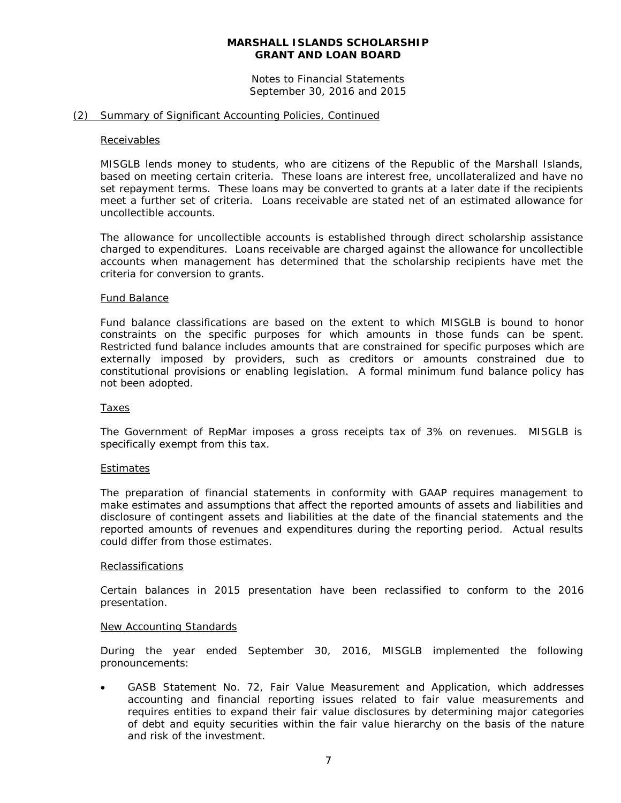Notes to Financial Statements September 30, 2016 and 2015

### (2) Summary of Significant Accounting Policies, Continued

### Receivables

MISGLB lends money to students, who are citizens of the Republic of the Marshall Islands, based on meeting certain criteria. These loans are interest free, uncollateralized and have no set repayment terms. These loans may be converted to grants at a later date if the recipients meet a further set of criteria. Loans receivable are stated net of an estimated allowance for uncollectible accounts.

The allowance for uncollectible accounts is established through direct scholarship assistance charged to expenditures. Loans receivable are charged against the allowance for uncollectible accounts when management has determined that the scholarship recipients have met the criteria for conversion to grants.

### Fund Balance

Fund balance classifications are based on the extent to which MISGLB is bound to honor constraints on the specific purposes for which amounts in those funds can be spent. Restricted fund balance includes amounts that are constrained for specific purposes which are externally imposed by providers, such as creditors or amounts constrained due to constitutional provisions or enabling legislation. A formal minimum fund balance policy has not been adopted.

### Taxes

The Government of RepMar imposes a gross receipts tax of 3% on revenues. MISGLB is specifically exempt from this tax.

### Estimates

The preparation of financial statements in conformity with GAAP requires management to make estimates and assumptions that affect the reported amounts of assets and liabilities and disclosure of contingent assets and liabilities at the date of the financial statements and the reported amounts of revenues and expenditures during the reporting period. Actual results could differ from those estimates.

### Reclassifications

Certain balances in 2015 presentation have been reclassified to conform to the 2016 presentation.

### New Accounting Standards

During the year ended September 30, 2016, MISGLB implemented the following pronouncements:

• GASB Statement No. 72, *Fair Value Measurement and Application,* which addresses accounting and financial reporting issues related to fair value measurements and requires entities to expand their fair value disclosures by determining major categories of debt and equity securities within the fair value hierarchy on the basis of the nature and risk of the investment.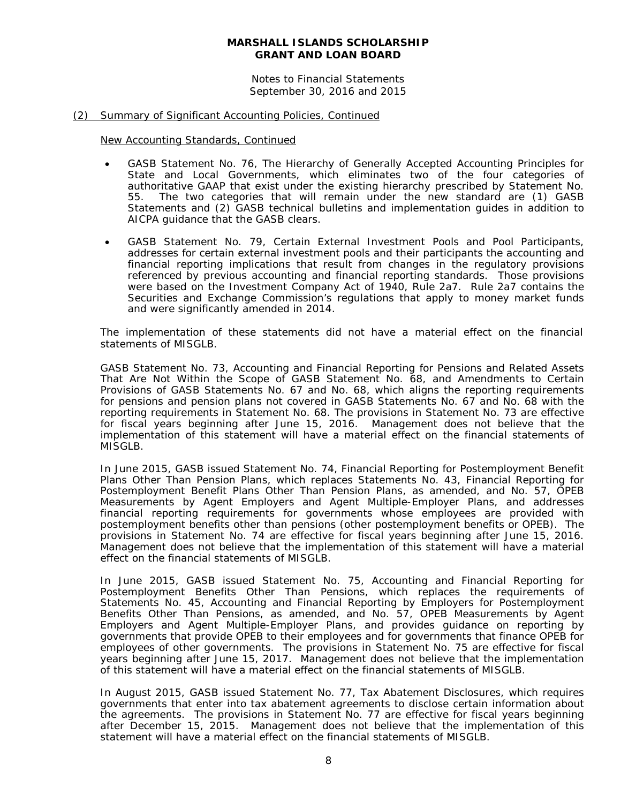Notes to Financial Statements September 30, 2016 and 2015

# (2) Summary of Significant Accounting Policies, Continued

### New Accounting Standards, Continued

- GASB Statement No. 76, *The Hierarchy of Generally Accepted Accounting Principles for State and Local Governments*, which eliminates two of the four categories of authoritative GAAP that exist under the existing hierarchy prescribed by Statement No. 55. The two categories that will remain under the new standard are (1) GASB Statements and (2) GASB technical bulletins and implementation guides in addition to AICPA guidance that the GASB clears.
- GASB Statement No. 79, *Certain External Investment Pools and Pool Participants*, addresses for certain external investment pools and their participants the accounting and financial reporting implications that result from changes in the regulatory provisions referenced by previous accounting and financial reporting standards. Those provisions were based on the Investment Company Act of 1940, Rule 2a7. Rule 2a7 contains the Securities and Exchange Commission's regulations that apply to money market funds and were significantly amended in 2014.

The implementation of these statements did not have a material effect on the financial statements of MISGLB.

GASB Statement No. 73, Accounting and Financial Reporting for Pensions and Related Assets That Are Not Within the Scope of GASB Statement No. 68, and Amendments to Certain Provisions of GASB Statements No. 67 and No. 68, which aligns the reporting requirements for pensions and pension plans not covered in GASB Statements No. 67 and No. 68 with the reporting requirements in Statement No. 68. The provisions in Statement No. 73 are effective for fiscal years beginning after June 15, 2016. Management does not believe that the implementation of this statement will have a material effect on the financial statements of MISGLB.

In June 2015, GASB issued Statement No. 74, *Financial Reporting for Postemployment Benefit Plans Other Than Pension Plans*, which replaces Statements No. 43, *Financial Reporting for Postemployment Benefit Plans Other Than Pension Plans*, as amended, and No. 57, *OPEB Measurements by Agent Employers and Agent Multiple-Employer Plans*, and addresses financial reporting requirements for governments whose employees are provided with postemployment benefits other than pensions (other postemployment benefits or OPEB). The provisions in Statement No. 74 are effective for fiscal years beginning after June 15, 2016. Management does not believe that the implementation of this statement will have a material effect on the financial statements of MISGLB.

In June 2015, GASB issued Statement No. 75, *Accounting and Financial Reporting for Postemployment Benefits Other Than Pensions*, which replaces the requirements of Statements No. 45, *Accounting and Financial Reporting by Employers for Postemployment Benefits Other Than Pensions*, as amended, and No. 57, *OPEB Measurements by Agent Employers and Agent Multiple-Employer Plans*, and provides guidance on reporting by governments that provide OPEB to their employees and for governments that finance OPEB for employees of other governments. The provisions in Statement No. 75 are effective for fiscal years beginning after June 15, 2017. Management does not believe that the implementation of this statement will have a material effect on the financial statements of MISGLB.

In August 2015, GASB issued Statement No. 77, *Tax Abatement Disclosures*, which requires governments that enter into tax abatement agreements to disclose certain information about the agreements. The provisions in Statement No. 77 are effective for fiscal years beginning after December 15, 2015. Management does not believe that the implementation of this statement will have a material effect on the financial statements of MISGLB.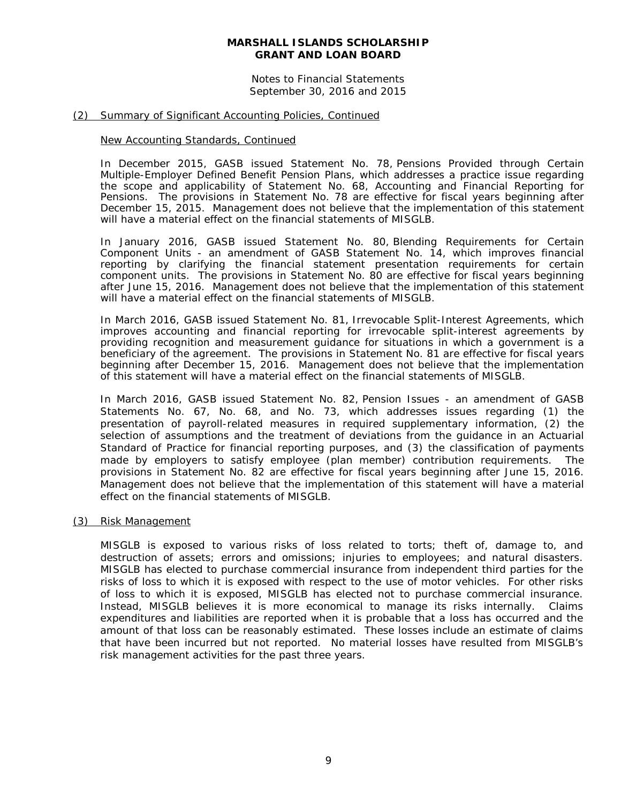Notes to Financial Statements September 30, 2016 and 2015

# (2) Summary of Significant Accounting Policies, Continued

# New Accounting Standards, Continued

In December 2015, GASB issued Statement No. 78, *Pensions Provided through Certain Multiple-Employer Defined Benefit Pension Plans,* which addresses a practice issue regarding the scope and applicability of Statement No. 68, *Accounting and Financial Reporting for Pensions*. The provisions in Statement No. 78 are effective for fiscal years beginning after December 15, 2015. Management does not believe that the implementation of this statement will have a material effect on the financial statements of MISGLB.

In January 2016, GASB issued Statement No. 80, *Blending Requirements for Certain Component Units - an amendment of GASB Statement No. 14,* which improves financial reporting by clarifying the financial statement presentation requirements for certain component units. The provisions in Statement No. 80 are effective for fiscal years beginning after June 15, 2016. Management does not believe that the implementation of this statement will have a material effect on the financial statements of MISGLB.

In March 2016, GASB issued Statement No. 81, *Irrevocable Split-Interest Agreements,* which improves accounting and financial reporting for irrevocable split-interest agreements by providing recognition and measurement guidance for situations in which a government is a beneficiary of the agreement. The provisions in Statement No. 81 are effective for fiscal years beginning after December 15, 2016. Management does not believe that the implementation of this statement will have a material effect on the financial statements of MISGLB.

In March 2016, GASB issued Statement No. 82, *Pension Issues - an amendment of GASB Statements No. 67, No. 68, and No. 73,* which addresses issues regarding (1) the presentation of payroll-related measures in required supplementary information, (2) the selection of assumptions and the treatment of deviations from the guidance in an Actuarial Standard of Practice for financial reporting purposes, and (3) the classification of payments made by employers to satisfy employee (plan member) contribution requirements. The provisions in Statement No. 82 are effective for fiscal years beginning after June 15, 2016. Management does not believe that the implementation of this statement will have a material effect on the financial statements of MISGLB.

### (3) Risk Management

MISGLB is exposed to various risks of loss related to torts; theft of, damage to, and destruction of assets; errors and omissions; injuries to employees; and natural disasters. MISGLB has elected to purchase commercial insurance from independent third parties for the risks of loss to which it is exposed with respect to the use of motor vehicles. For other risks of loss to which it is exposed, MISGLB has elected not to purchase commercial insurance. Instead, MISGLB believes it is more economical to manage its risks internally. Claims expenditures and liabilities are reported when it is probable that a loss has occurred and the amount of that loss can be reasonably estimated. These losses include an estimate of claims that have been incurred but not reported. No material losses have resulted from MISGLB's risk management activities for the past three years.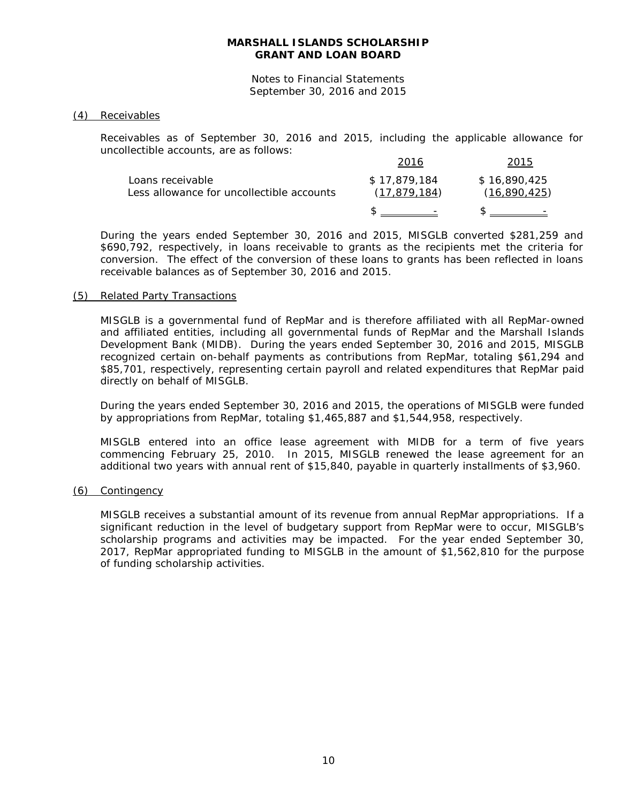Notes to Financial Statements September 30, 2016 and 2015

### (4) Receivables

Receivables as of September 30, 2016 and 2015, including the applicable allowance for uncollectible accounts, are as follows:

|                                                               |                              | 2015                         |
|---------------------------------------------------------------|------------------------------|------------------------------|
| Loans receivable<br>Less allowance for uncollectible accounts | \$17.879.184<br>(17.879.184) | \$16,890,425<br>(16,890,425) |
|                                                               |                              | $\overline{\phantom{0}}$     |

During the years ended September 30, 2016 and 2015, MISGLB converted \$281,259 and \$690,792, respectively, in loans receivable to grants as the recipients met the criteria for conversion. The effect of the conversion of these loans to grants has been reflected in loans receivable balances as of September 30, 2016 and 2015.

# (5) Related Party Transactions

MISGLB is a governmental fund of RepMar and is therefore affiliated with all RepMar-owned and affiliated entities, including all governmental funds of RepMar and the Marshall Islands Development Bank (MIDB). During the years ended September 30, 2016 and 2015, MISGLB recognized certain on-behalf payments as contributions from RepMar, totaling \$61,294 and \$85,701, respectively, representing certain payroll and related expenditures that RepMar paid directly on behalf of MISGLB.

During the years ended September 30, 2016 and 2015, the operations of MISGLB were funded by appropriations from RepMar, totaling \$1,465,887 and \$1,544,958, respectively.

MISGLB entered into an office lease agreement with MIDB for a term of five years commencing February 25, 2010. In 2015, MISGLB renewed the lease agreement for an additional two years with annual rent of \$15,840, payable in quarterly installments of \$3,960.

### (6) Contingency

MISGLB receives a substantial amount of its revenue from annual RepMar appropriations. If a significant reduction in the level of budgetary support from RepMar were to occur, MISGLB's scholarship programs and activities may be impacted. For the year ended September 30, 2017, RepMar appropriated funding to MISGLB in the amount of \$1,562,810 for the purpose of funding scholarship activities.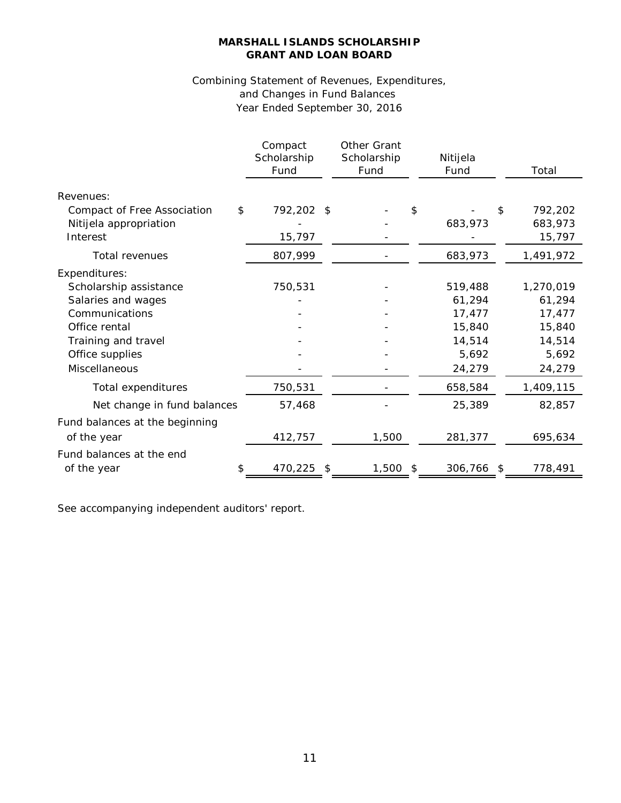# **GRANT AND LOAN BOARD MARSHALL ISLANDS SCHOLARSHIP**

# Combining Statement of Revenues, Expenditures, Year Ended September 30, 2016 and Changes in Fund Balances

|                                          | Compact<br>Scholarship<br>Fund | Other Grant<br>Scholarship<br>Fund | Nitijela<br>Fund | Total         |
|------------------------------------------|--------------------------------|------------------------------------|------------------|---------------|
| Revenues:                                |                                |                                    |                  |               |
| \$<br><b>Compact of Free Association</b> | 792,202 \$                     | \$                                 |                  | 792,202<br>\$ |
| Nitijela appropriation                   |                                |                                    | 683,973          | 683,973       |
| Interest                                 | 15,797                         |                                    |                  | 15,797        |
| <b>Total revenues</b>                    | 807,999                        |                                    | 683,973          | 1,491,972     |
| Expenditures:                            |                                |                                    |                  |               |
| Scholarship assistance                   | 750,531                        |                                    | 519,488          | 1,270,019     |
| Salaries and wages                       |                                |                                    | 61,294           | 61,294        |
| Communications                           |                                |                                    | 17,477           | 17,477        |
| Office rental                            |                                |                                    | 15,840           | 15,840        |
| Training and travel                      |                                |                                    | 14,514           | 14,514        |
| Office supplies                          |                                |                                    | 5,692            | 5,692         |
| Miscellaneous                            |                                |                                    | 24,279           | 24,279        |
| Total expenditures                       | 750,531                        |                                    | 658,584          | 1,409,115     |
| Net change in fund balances              | 57,468                         |                                    | 25,389           | 82,857        |
| Fund balances at the beginning           |                                |                                    |                  |               |
| of the year                              | 412,757                        | 1,500                              | 281,377          | 695,634       |
| Fund balances at the end                 |                                |                                    |                  |               |
| of the year<br>\$                        | 470,225<br>\$                  | 1,500<br>\$                        | 306,766          | \$<br>778,491 |

See accompanying independent auditors' report.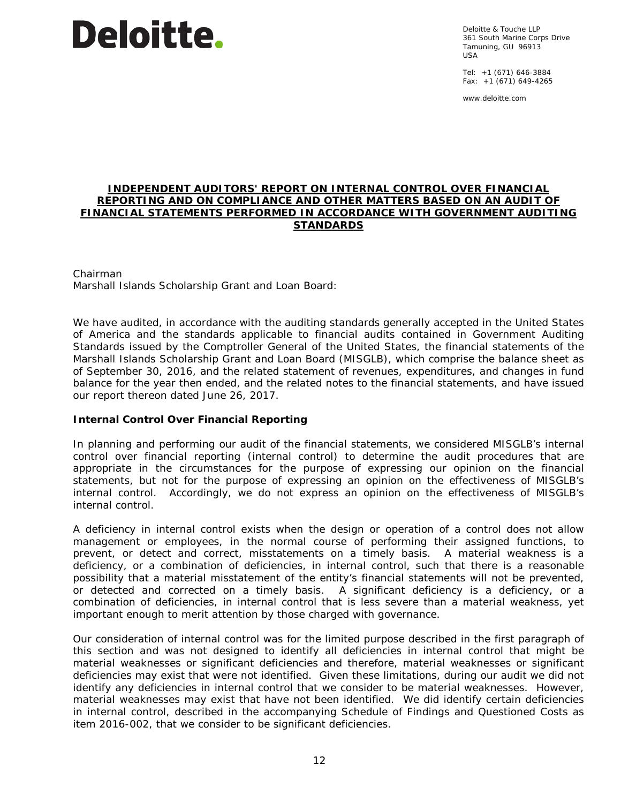Deloitte & Touche LLP 361 South Marine Corps Drive Tamuning, GU 96913 USA

Tel: +1 (671) 646-3884 Fax: +1 (671) 649-4265

www.deloitte.com

# **INDEPENDENT AUDITORS' REPORT ON INTERNAL CONTROL OVER FINANCIAL REPORTING AND ON COMPLIANCE AND OTHER MATTERS BASED ON AN AUDIT OF FINANCIAL STATEMENTS PERFORMED IN ACCORDANCE WITH** *GOVERNMENT AUDITING STANDARDS*

Chairman Marshall Islands Scholarship Grant and Loan Board:

We have audited, in accordance with the auditing standards generally accepted in the United States of America and the standards applicable to financial audits contained in *Government Auditing Standards* issued by the Comptroller General of the United States, the financial statements of the Marshall Islands Scholarship Grant and Loan Board (MISGLB), which comprise the balance sheet as of September 30, 2016, and the related statement of revenues, expenditures, and changes in fund balance for the year then ended, and the related notes to the financial statements, and have issued our report thereon dated June 26, 2017.

# **Internal Control Over Financial Reporting**

In planning and performing our audit of the financial statements, we considered MISGLB's internal control over financial reporting (internal control) to determine the audit procedures that are appropriate in the circumstances for the purpose of expressing our opinion on the financial statements, but not for the purpose of expressing an opinion on the effectiveness of MISGLB's internal control. Accordingly, we do not express an opinion on the effectiveness of MISGLB's internal control.

A *deficiency in internal control* exists when the design or operation of a control does not allow management or employees, in the normal course of performing their assigned functions, to prevent, or detect and correct, misstatements on a timely basis. A *material weakness* is a deficiency, or a combination of deficiencies, in internal control, such that there is a reasonable possibility that a material misstatement of the entity's financial statements will not be prevented, or detected and corrected on a timely basis. A *significant deficiency* is a deficiency, or a combination of deficiencies, in internal control that is less severe than a material weakness, yet important enough to merit attention by those charged with governance.

Our consideration of internal control was for the limited purpose described in the first paragraph of this section and was not designed to identify all deficiencies in internal control that might be material weaknesses or significant deficiencies and therefore, material weaknesses or significant deficiencies may exist that were not identified. Given these limitations, during our audit we did not identify any deficiencies in internal control that we consider to be material weaknesses. However, material weaknesses may exist that have not been identified. We did identify certain deficiencies in internal control, described in the accompanying Schedule of Findings and Questioned Costs as item 2016-002, that we consider to be significant deficiencies.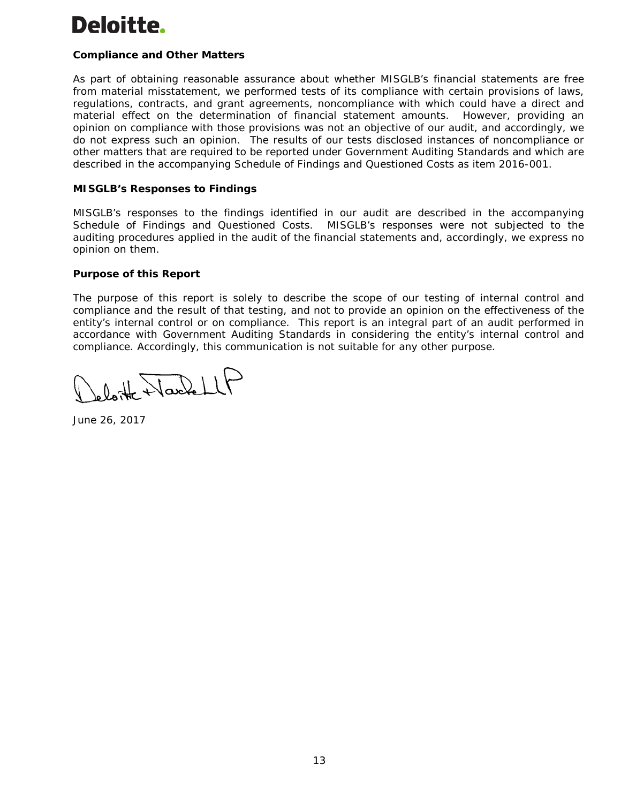# **Compliance and Other Matters**

As part of obtaining reasonable assurance about whether MISGLB's financial statements are free from material misstatement, we performed tests of its compliance with certain provisions of laws, regulations, contracts, and grant agreements, noncompliance with which could have a direct and material effect on the determination of financial statement amounts. However, providing an opinion on compliance with those provisions was not an objective of our audit, and accordingly, we do not express such an opinion. The results of our tests disclosed instances of noncompliance or other matters that are required to be reported under *Government Auditing Standards* and which are described in the accompanying Schedule of Findings and Questioned Costs as item 2016-001.

# **MISGLB's Responses to Findings**

MISGLB's responses to the findings identified in our audit are described in the accompanying Schedule of Findings and Questioned Costs. MISGLB's responses were not subjected to the auditing procedures applied in the audit of the financial statements and, accordingly, we express no opinion on them.

# **Purpose of this Report**

The purpose of this report is solely to describe the scope of our testing of internal control and compliance and the result of that testing, and not to provide an opinion on the effectiveness of the entity's internal control or on compliance. This report is an integral part of an audit performed in accordance with *Government Auditing Standards* in considering the entity's internal control and compliance. Accordingly, this communication is not suitable for any other purpose.

 $0.1$  Nackell

June 26, 2017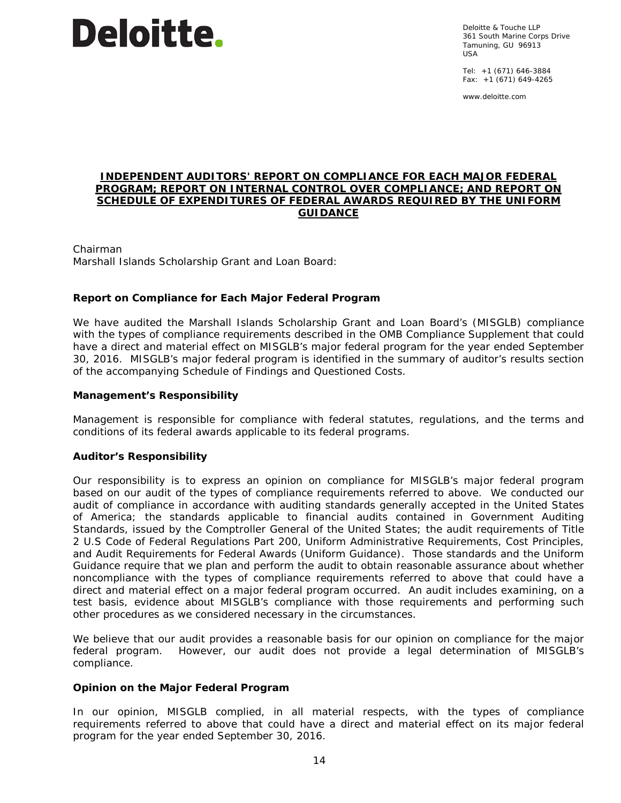Deloitte & Touche LLP 361 South Marine Corps Drive Tamuning, GU 96913 USA

Tel: +1 (671) 646-3884 Fax: +1 (671) 649-4265

www.deloitte.com

# **INDEPENDENT AUDITORS' REPORT ON COMPLIANCE FOR EACH MAJOR FEDERAL PROGRAM; REPORT ON INTERNAL CONTROL OVER COMPLIANCE; AND REPORT ON SCHEDULE OF EXPENDITURES OF FEDERAL AWARDS REQUIRED BY THE UNIFORM GUIDANCE**

Chairman Marshall Islands Scholarship Grant and Loan Board:

# **Report on Compliance for Each Major Federal Program**

We have audited the Marshall Islands Scholarship Grant and Loan Board's (MISGLB) compliance with the types of compliance requirements described in the *OMB Compliance Supplement* that could have a direct and material effect on MISGLB's major federal program for the year ended September 30, 2016. MISGLB's major federal program is identified in the summary of auditor's results section of the accompanying Schedule of Findings and Questioned Costs.

# *Management's Responsibility*

Management is responsible for compliance with federal statutes, regulations, and the terms and conditions of its federal awards applicable to its federal programs.

# *Auditor's Responsibility*

Our responsibility is to express an opinion on compliance for MISGLB's major federal program based on our audit of the types of compliance requirements referred to above. We conducted our audit of compliance in accordance with auditing standards generally accepted in the United States of America; the standards applicable to financial audits contained in *Government Auditing Standards*, issued by the Comptroller General of the United States; the audit requirements of Title 2 U.S *Code of Federal Regulations* Part 200, *Uniform Administrative Requirements, Cost Principles, and Audit Requirements for Federal Awards* (Uniform Guidance). Those standards and the Uniform Guidance require that we plan and perform the audit to obtain reasonable assurance about whether noncompliance with the types of compliance requirements referred to above that could have a direct and material effect on a major federal program occurred. An audit includes examining, on a test basis, evidence about MISGLB's compliance with those requirements and performing such other procedures as we considered necessary in the circumstances.

We believe that our audit provides a reasonable basis for our opinion on compliance for the major federal program. However, our audit does not provide a legal determination of MISGLB's compliance.

### *Opinion on the Major Federal Program*

In our opinion, MISGLB complied, in all material respects, with the types of compliance requirements referred to above that could have a direct and material effect on its major federal program for the year ended September 30, 2016.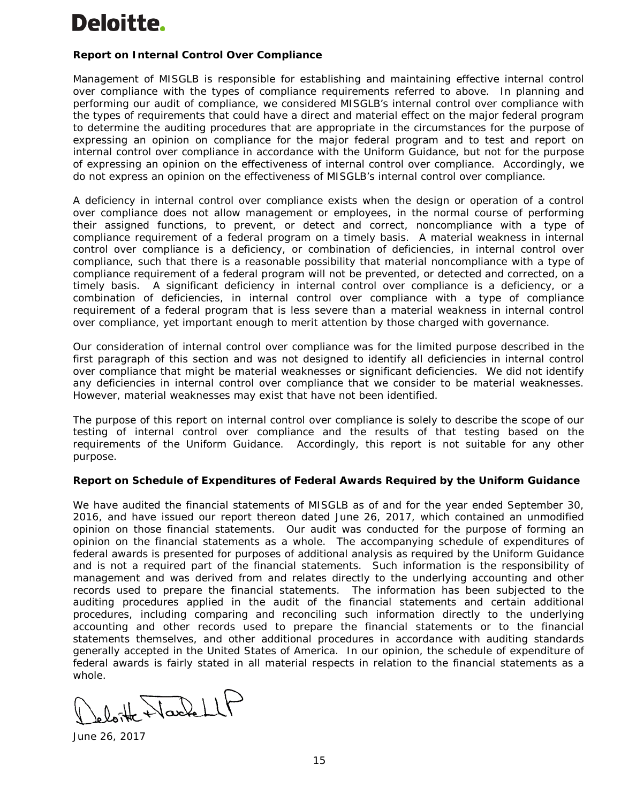# **Report on Internal Control Over Compliance**

Management of MISGLB is responsible for establishing and maintaining effective internal control over compliance with the types of compliance requirements referred to above. In planning and performing our audit of compliance, we considered MISGLB's internal control over compliance with the types of requirements that could have a direct and material effect on the major federal program to determine the auditing procedures that are appropriate in the circumstances for the purpose of expressing an opinion on compliance for the major federal program and to test and report on internal control over compliance in accordance with the Uniform Guidance, but not for the purpose of expressing an opinion on the effectiveness of internal control over compliance. Accordingly, we do not express an opinion on the effectiveness of MISGLB's internal control over compliance.

A *deficiency in internal control over compliance* exists when the design or operation of a control over compliance does not allow management or employees, in the normal course of performing their assigned functions, to prevent, or detect and correct, noncompliance with a type of compliance requirement of a federal program on a timely basis. A *material weakness in internal control over compliance* is a deficiency, or combination of deficiencies, in internal control over compliance, such that there is a reasonable possibility that material noncompliance with a type of compliance requirement of a federal program will not be prevented, or detected and corrected, on a timely basis. A *significant deficiency in internal control over compliance* is a deficiency, or a combination of deficiencies, in internal control over compliance with a type of compliance requirement of a federal program that is less severe than a material weakness in internal control over compliance, yet important enough to merit attention by those charged with governance.

Our consideration of internal control over compliance was for the limited purpose described in the first paragraph of this section and was not designed to identify all deficiencies in internal control over compliance that might be material weaknesses or significant deficiencies. We did not identify any deficiencies in internal control over compliance that we consider to be material weaknesses. However, material weaknesses may exist that have not been identified.

The purpose of this report on internal control over compliance is solely to describe the scope of our testing of internal control over compliance and the results of that testing based on the requirements of the Uniform Guidance. Accordingly, this report is not suitable for any other purpose.

# **Report on Schedule of Expenditures of Federal Awards Required by the Uniform Guidance**

We have audited the financial statements of MISGLB as of and for the year ended September 30, 2016, and have issued our report thereon dated June 26, 2017, which contained an unmodified opinion on those financial statements. Our audit was conducted for the purpose of forming an opinion on the financial statements as a whole. The accompanying schedule of expenditures of federal awards is presented for purposes of additional analysis as required by the Uniform Guidance and is not a required part of the financial statements. Such information is the responsibility of management and was derived from and relates directly to the underlying accounting and other records used to prepare the financial statements. The information has been subjected to the auditing procedures applied in the audit of the financial statements and certain additional procedures, including comparing and reconciling such information directly to the underlying accounting and other records used to prepare the financial statements or to the financial statements themselves, and other additional procedures in accordance with auditing standards generally accepted in the United States of America. In our opinion, the schedule of expenditure of federal awards is fairly stated in all material respects in relation to the financial statements as a whole.

bitte Wackell

June 26, 2017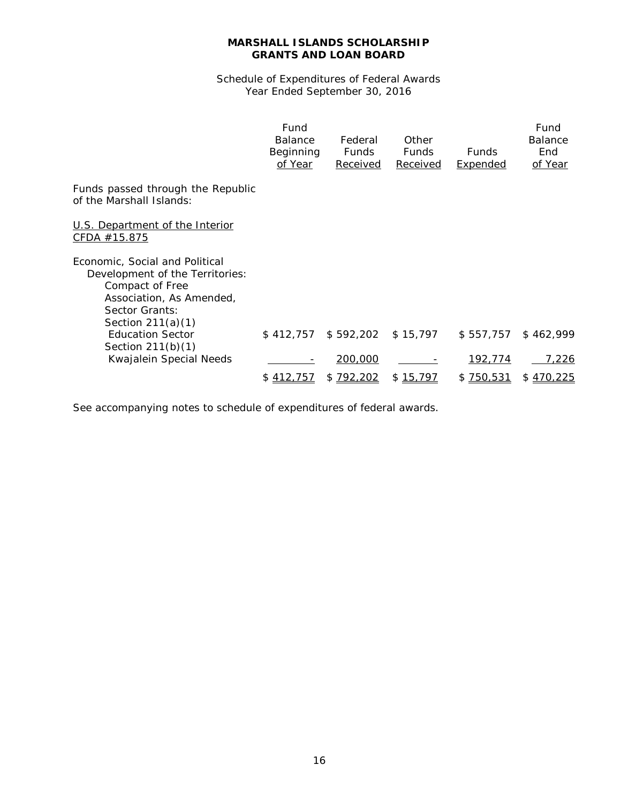Schedule of Expenditures of Federal Awards Year Ended September 30, 2016

|                                                                                                                                    | Fund<br><b>Balance</b><br>Beginning<br>of Year | Federal<br><b>Funds</b><br>Received | Other<br>Funds<br>Received | Funds<br><b>Expended</b> | Fund<br><b>Balance</b><br>End<br>of Year |
|------------------------------------------------------------------------------------------------------------------------------------|------------------------------------------------|-------------------------------------|----------------------------|--------------------------|------------------------------------------|
| Funds passed through the Republic<br>of the Marshall Islands:                                                                      |                                                |                                     |                            |                          |                                          |
| U.S. Department of the Interior<br>CFDA #15.875                                                                                    |                                                |                                     |                            |                          |                                          |
| Economic, Social and Political<br>Development of the Territories:<br>Compact of Free<br>Association, As Amended,<br>Sector Grants: |                                                |                                     |                            |                          |                                          |
| Section $211(a)(1)$<br><b>Education Sector</b><br>Section $211(b)(1)$                                                              |                                                | $$412,757$ $$592,202$ $$15,797$     |                            | \$557,757                | \$462,999                                |
| Kwajalein Special Needs                                                                                                            |                                                | 200,000                             |                            | 192,774                  | 7,226                                    |
|                                                                                                                                    | \$412,757                                      | \$792,202                           | \$15,797                   | \$750,531                | \$470,225                                |

See accompanying notes to schedule of expenditures of federal awards.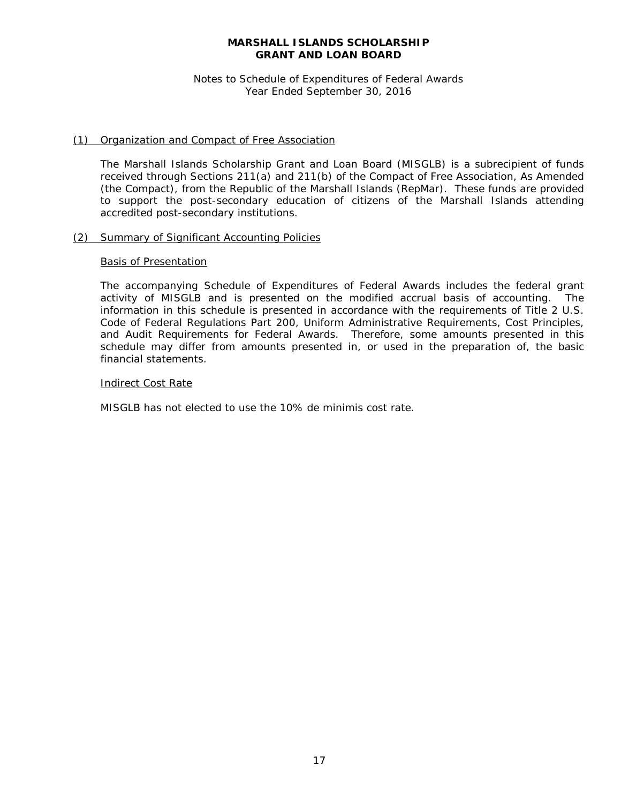Notes to Schedule of Expenditures of Federal Awards Year Ended September 30, 2016

# (1) Organization and Compact of Free Association

The Marshall Islands Scholarship Grant and Loan Board (MISGLB) is a subrecipient of funds received through Sections 211(a) and 211(b) of the Compact of Free Association, As Amended (the Compact), from the Republic of the Marshall Islands (RepMar). These funds are provided to support the post-secondary education of citizens of the Marshall Islands attending accredited post-secondary institutions.

### (2) Summary of Significant Accounting Policies

# Basis of Presentation

The accompanying Schedule of Expenditures of Federal Awards includes the federal grant activity of MISGLB and is presented on the modified accrual basis of accounting. The information in this schedule is presented in accordance with the requirements of Title 2 U.S. *Code of Federal Regulations* Part 200, *Uniform Administrative Requirements, Cost Principles, and Audit Requirements for Federal Awards*. Therefore, some amounts presented in this schedule may differ from amounts presented in, or used in the preparation of, the basic financial statements.

# Indirect Cost Rate

MISGLB has not elected to use the 10% de minimis cost rate.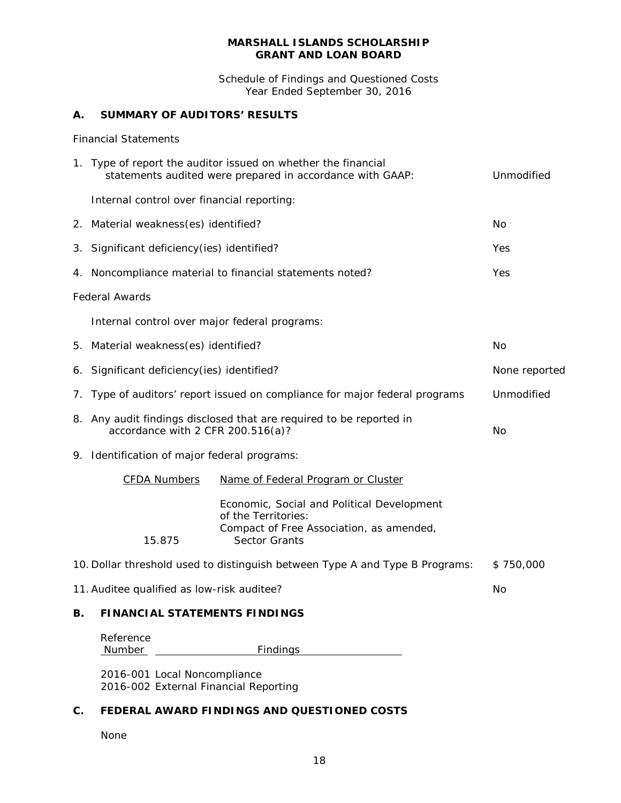Schedule of Findings and Questioned Costs Year Ended September 30, 2016

# **A. SUMMARY OF AUDITORS' RESULTS**

# *Financial Statements*

|                                                                                                          | 1. Type of report the auditor issued on whether the financial<br>statements audited were prepared in accordance with GAAP: | Unmodified                                                                                                                            |           |  |
|----------------------------------------------------------------------------------------------------------|----------------------------------------------------------------------------------------------------------------------------|---------------------------------------------------------------------------------------------------------------------------------------|-----------|--|
|                                                                                                          | Internal control over financial reporting:                                                                                 |                                                                                                                                       |           |  |
|                                                                                                          | 2. Material weakness(es) identified?                                                                                       |                                                                                                                                       | No        |  |
| 3.                                                                                                       | Significant deficiency(ies) identified?                                                                                    |                                                                                                                                       | Yes       |  |
|                                                                                                          |                                                                                                                            | 4. Noncompliance material to financial statements noted?                                                                              | Yes       |  |
|                                                                                                          | <b>Federal Awards</b>                                                                                                      |                                                                                                                                       |           |  |
|                                                                                                          | Internal control over major federal programs:                                                                              |                                                                                                                                       |           |  |
|                                                                                                          | 5. Material weakness(es) identified?                                                                                       |                                                                                                                                       |           |  |
|                                                                                                          | 6. Significant deficiency(ies) identified?                                                                                 |                                                                                                                                       |           |  |
|                                                                                                          | 7. Type of auditors' report issued on compliance for major federal programs                                                |                                                                                                                                       |           |  |
| 8. Any audit findings disclosed that are required to be reported in<br>accordance with 2 CFR 200.516(a)? |                                                                                                                            |                                                                                                                                       | No        |  |
|                                                                                                          | 9. Identification of major federal programs:                                                                               |                                                                                                                                       |           |  |
|                                                                                                          | <b>CFDA Numbers</b>                                                                                                        | Name of Federal Program or Cluster                                                                                                    |           |  |
|                                                                                                          | 15.875                                                                                                                     | Economic, Social and Political Development<br>of the Territories:<br>Compact of Free Association, as amended,<br><b>Sector Grants</b> |           |  |
| 10. Dollar threshold used to distinguish between Type A and Type B Programs:                             |                                                                                                                            |                                                                                                                                       | \$750,000 |  |
| 11. Auditee qualified as low-risk auditee?                                                               |                                                                                                                            |                                                                                                                                       | <b>No</b> |  |
|                                                                                                          |                                                                                                                            |                                                                                                                                       |           |  |

# **B. FINANCIAL STATEMENTS FINDINGS**

Reference Number **Findings** 

2016-001 Local Noncompliance 2016-002 External Financial Reporting

# **C. FEDERAL AWARD FINDINGS AND QUESTIONED COSTS**

None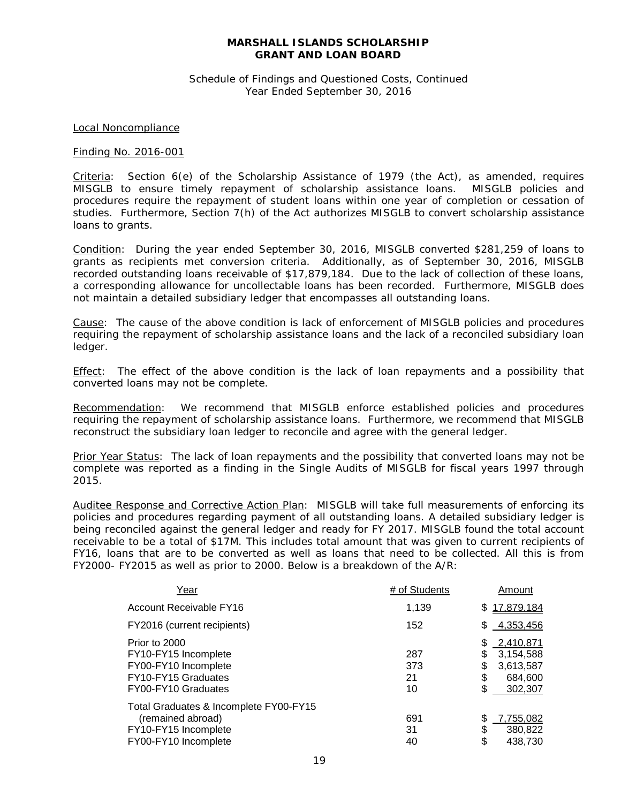Schedule of Findings and Questioned Costs, Continued Year Ended September 30, 2016

Local Noncompliance

# Finding No. 2016-001

Criteria: Section 6(e) of the Scholarship Assistance of 1979 (the Act), as amended, requires MISGLB to ensure timely repayment of scholarship assistance loans. MISGLB policies and procedures require the repayment of student loans within one year of completion or cessation of studies. Furthermore, Section 7(h) of the Act authorizes MISGLB to convert scholarship assistance loans to grants.

Condition: During the year ended September 30, 2016, MISGLB converted \$281,259 of loans to grants as recipients met conversion criteria. Additionally, as of September 30, 2016, MISGLB recorded outstanding loans receivable of \$17,879,184. Due to the lack of collection of these loans, a corresponding allowance for uncollectable loans has been recorded. Furthermore, MISGLB does not maintain a detailed subsidiary ledger that encompasses all outstanding loans.

Cause: The cause of the above condition is lack of enforcement of MISGLB policies and procedures requiring the repayment of scholarship assistance loans and the lack of a reconciled subsidiary loan ledger.

Effect: The effect of the above condition is the lack of loan repayments and a possibility that converted loans may not be complete.

Recommendation: We recommend that MISGLB enforce established policies and procedures requiring the repayment of scholarship assistance loans. Furthermore, we recommend that MISGLB reconstruct the subsidiary loan ledger to reconcile and agree with the general ledger.

Prior Year Status: The lack of loan repayments and the possibility that converted loans may not be complete was reported as a finding in the Single Audits of MISGLB for fiscal years 1997 through 2015.

Auditee Response and Corrective Action Plan: MISGLB will take full measurements of enforcing its policies and procedures regarding payment of all outstanding loans. A detailed subsidiary ledger is being reconciled against the general ledger and ready for FY 2017. MISGLB found the total account receivable to be a total of \$17M. This includes total amount that was given to current recipients of FY16, loans that are to be converted as well as loans that need to be collected. All this is from FY2000- FY2015 as well as prior to 2000. Below is a breakdown of the A/R:

| Year                                                                                                        | # of Students          | Amount                                                                              |
|-------------------------------------------------------------------------------------------------------------|------------------------|-------------------------------------------------------------------------------------|
| Account Receivable FY16                                                                                     | 1,139                  | \$17,879,184                                                                        |
| FY2016 (current recipients)                                                                                 | 152                    | \$4,353,456                                                                         |
| Prior to 2000<br>FY10-FY15 Incomplete<br>FY00-FY10 Incomplete<br>FY10-FY15 Graduates<br>FY00-FY10 Graduates | 287<br>373<br>21<br>10 | \$2,410,871<br>\$<br>3,154,588<br>\$<br>3,613,587<br>\$<br>684,600<br>\$<br>302,307 |
| Total Graduates & Incomplete FY00-FY15<br>(remained abroad)<br>FY10-FY15 Incomplete<br>FY00-FY10 Incomplete | 691<br>31<br>40        | 7,755,082<br>\$<br>\$<br>380,822<br>\$<br>438.730                                   |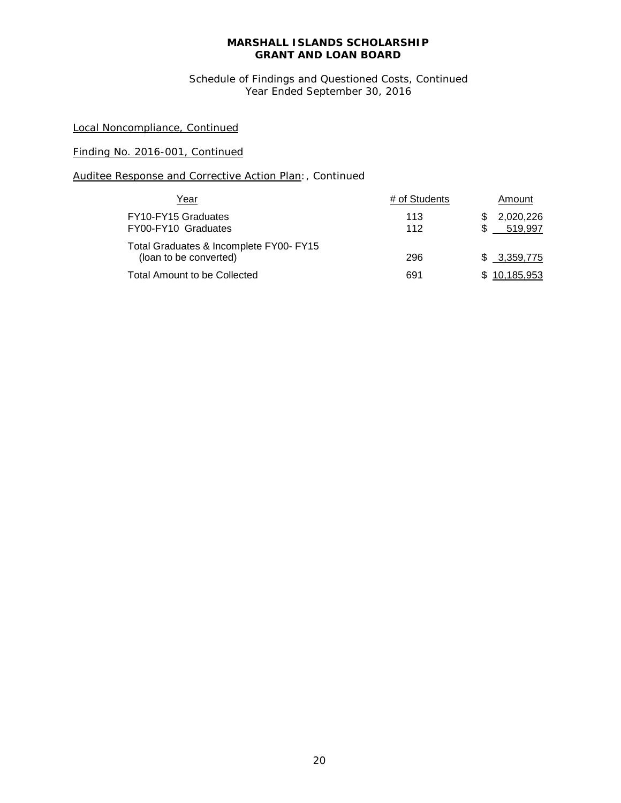Schedule of Findings and Questioned Costs, Continued Year Ended September 30, 2016

Local Noncompliance, Continued

# Finding No. 2016-001, Continued

# Auditee Response and Corrective Action Plan:, Continued

| Year                                                              | # of Students | Amount               |
|-------------------------------------------------------------------|---------------|----------------------|
| FY10-FY15 Graduates<br>FY00-FY10 Graduates                        | 113<br>112    | 2,020,226<br>519.997 |
| Total Graduates & Incomplete FY00- FY15<br>(loan to be converted) | 296           | \$3,359,775          |
| <b>Total Amount to be Collected</b>                               | 691           | 10,185,953           |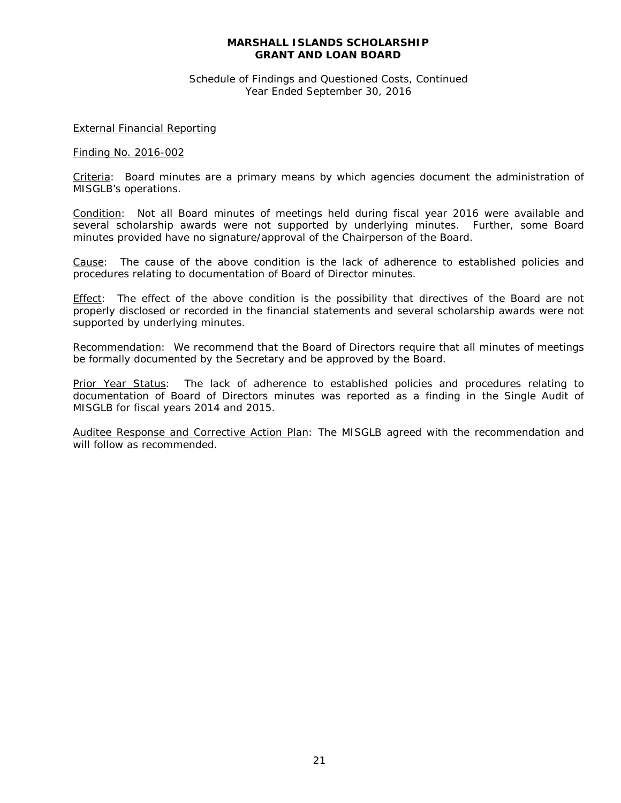Schedule of Findings and Questioned Costs, Continued Year Ended September 30, 2016

# External Financial Reporting

# Finding No. 2016-002

Criteria: Board minutes are a primary means by which agencies document the administration of MISGLB's operations.

Condition: Not all Board minutes of meetings held during fiscal year 2016 were available and several scholarship awards were not supported by underlying minutes. Further, some Board minutes provided have no signature/approval of the Chairperson of the Board.

Cause: The cause of the above condition is the lack of adherence to established policies and procedures relating to documentation of Board of Director minutes.

Effect: The effect of the above condition is the possibility that directives of the Board are not properly disclosed or recorded in the financial statements and several scholarship awards were not supported by underlying minutes.

Recommendation: We recommend that the Board of Directors require that all minutes of meetings be formally documented by the Secretary and be approved by the Board.

Prior Year Status: The lack of adherence to established policies and procedures relating to documentation of Board of Directors minutes was reported as a finding in the Single Audit of MISGLB for fiscal years 2014 and 2015.

Auditee Response and Corrective Action Plan: The MISGLB agreed with the recommendation and will follow as recommended.